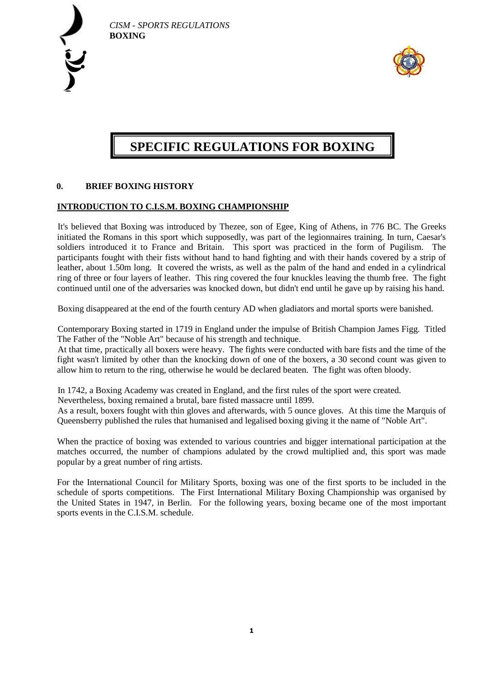



# **SPECIFIC REGULATIONS FOR BOXING**

## **0. BRIEF BOXING HISTORY**

#### **INTRODUCTION TO C.I.S.M. BOXING CHAMPIONSHIP**

It's believed that Boxing was introduced by Thezee, son of Egee, King of Athens, in 776 BC. The Greeks initiated the Romans in this sport which supposedly, was part of the legionnaires training. In turn, Caesar's soldiers introduced it to France and Britain. This sport was practiced in the form of Pugilism. The participants fought with their fists without hand to hand fighting and with their hands covered by a strip of leather, about 1.50m long. It covered the wrists, as well as the palm of the hand and ended in a cylindrical ring of three or four layers of leather. This ring covered the four knuckles leaving the thumb free. The fight continued until one of the adversaries was knocked down, but didn't end until he gave up by raising his hand.

Boxing disappeared at the end of the fourth century AD when gladiators and mortal sports were banished.

Contemporary Boxing started in 1719 in England under the impulse of British Champion James Figg. Titled The Father of the "Noble Art" because of his strength and technique.

At that time, practically all boxers were heavy. The fights were conducted with bare fists and the time of the fight wasn't limited by other than the knocking down of one of the boxers, a 30 second count was given to allow him to return to the ring, otherwise he would be declared beaten. The fight was often bloody.

In 1742, a Boxing Academy was created in England, and the first rules of the sport were created. Nevertheless, boxing remained a brutal, bare fisted massacre until 1899.

As a result, boxers fought with thin gloves and afterwards, with 5 ounce gloves. At this time the Marquis of Queensberry published the rules that humanised and legalised boxing giving it the name of "Noble Art".

When the practice of boxing was extended to various countries and bigger international participation at the matches occurred, the number of champions adulated by the crowd multiplied and, this sport was made popular by a great number of ring artists.

For the International Council for Military Sports, boxing was one of the first sports to be included in the schedule of sports competitions. The First International Military Boxing Championship was organised by the United States in 1947, in Berlin. For the following years, boxing became one of the most important sports events in the C.I.S.M. schedule.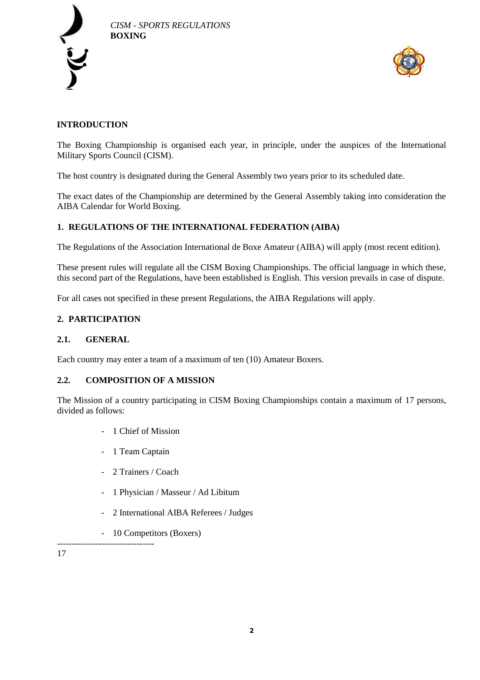



# **INTRODUCTION**

The Boxing Championship is organised each year, in principle, under the auspices of the International Military Sports Council (CISM).

The host country is designated during the General Assembly two years prior to its scheduled date.

The exact dates of the Championship are determined by the General Assembly taking into consideration the AIBA Calendar for World Boxing.

# **1. REGULATIONS OF THE INTERNATIONAL FEDERATION (AIBA)**

The Regulations of the Association International de Boxe Amateur (AIBA) will apply (most recent edition).

These present rules will regulate all the CISM Boxing Championships. The official language in which these, this second part of the Regulations, have been established is English. This version prevails in case of dispute.

For all cases not specified in these present Regulations, the AIBA Regulations will apply.

# **2. PARTICIPATION**

## **2.1. GENERAL**

Each country may enter a team of a maximum of ten (10) Amateur Boxers.

#### **2.2. COMPOSITION OF A MISSION**

The Mission of a country participating in CISM Boxing Championships contain a maximum of 17 persons, divided as follows:

- 1 Chief of Mission
- 1 Team Captain
- 2 Trainers / Coach
- 1 Physician / Masseur / Ad Libitum
- 2 International AIBA Referees / Judges
- 10 Competitors (Boxers)

---------------------------------

17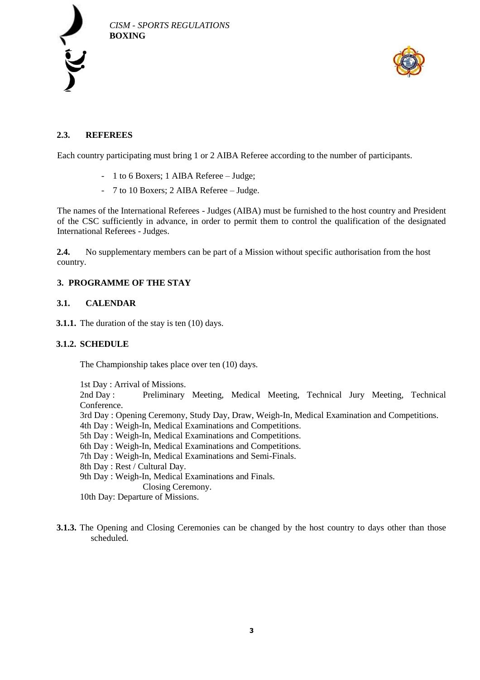



# **2.3. REFEREES**

Each country participating must bring 1 or 2 AIBA Referee according to the number of participants.

- 1 to 6 Boxers; 1 AIBA Referee Judge;
- 7 to 10 Boxers; 2 AIBA Referee Judge.

The names of the International Referees - Judges (AIBA) must be furnished to the host country and President of the CSC sufficiently in advance, in order to permit them to control the qualification of the designated International Referees - Judges.

**2.4.** No supplementary members can be part of a Mission without specific authorisation from the host country.

#### **3. PROGRAMME OF THE STAY**

#### **3.1. CALENDAR**

**3.1.1.** The duration of the stay is ten (10) days.

#### **3.1.2. SCHEDULE**

The Championship takes place over ten (10) days.

1st Day : Arrival of Missions.

2nd Day : Preliminary Meeting, Medical Meeting, Technical Jury Meeting, Technical Conference.

- 3rd Day : Opening Ceremony, Study Day, Draw, Weigh-In, Medical Examination and Competitions.
- 4th Day : Weigh-In, Medical Examinations and Competitions.
- 5th Day : Weigh-In, Medical Examinations and Competitions.
- 6th Day : Weigh-In, Medical Examinations and Competitions.
- 7th Day : Weigh-In, Medical Examinations and Semi-Finals.
- 8th Day : Rest / Cultural Day.
- 9th Day : Weigh-In, Medical Examinations and Finals.

Closing Ceremony.

10th Day: Departure of Missions.

**3.1.3.** The Opening and Closing Ceremonies can be changed by the host country to days other than those scheduled.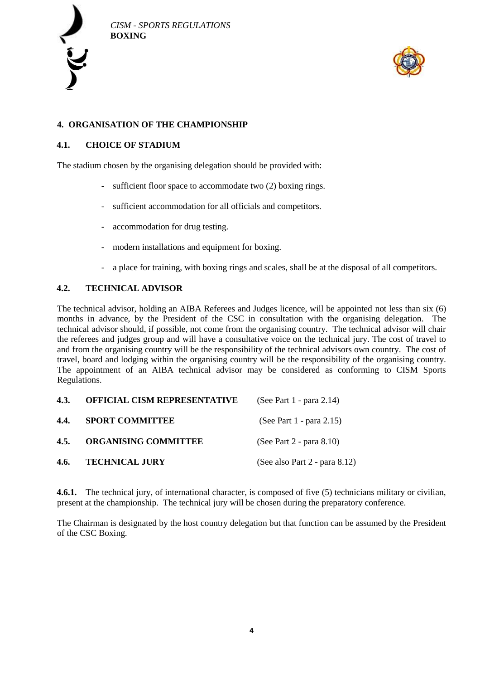



# **4. ORGANISATION OF THE CHAMPIONSHIP**

## **4.1. CHOICE OF STADIUM**

The stadium chosen by the organising delegation should be provided with:

- sufficient floor space to accommodate two (2) boxing rings.
- sufficient accommodation for all officials and competitors.
- accommodation for drug testing.
- modern installations and equipment for boxing.
- a place for training, with boxing rings and scales, shall be at the disposal of all competitors.

## **4.2. TECHNICAL ADVISOR**

The technical advisor, holding an AIBA Referees and Judges licence, will be appointed not less than six (6) months in advance, by the President of the CSC in consultation with the organising delegation. The technical advisor should, if possible, not come from the organising country. The technical advisor will chair the referees and judges group and will have a consultative voice on the technical jury. The cost of travel to and from the organising country will be the responsibility of the technical advisors own country. The cost of travel, board and lodging within the organising country will be the responsibility of the organising country. The appointment of an AIBA technical advisor may be considered as conforming to CISM Sports Regulations.

| 4.3. | OFFICIAL CISM REPRESENTATIVE | (See Part 1 - para 2.14)      |  |
|------|------------------------------|-------------------------------|--|
| 4.4. | <b>SPORT COMMITTEE</b>       | (See Part 1 - para 2.15)      |  |
| 4.5. | <b>ORGANISING COMMITTEE</b>  | (See Part 2 - para 8.10)      |  |
| 4.6. | <b>TECHNICAL JURY</b>        | (See also Part 2 - para 8.12) |  |

**4.6.1.** The technical jury, of international character, is composed of five (5) technicians military or civilian, present at the championship. The technical jury will be chosen during the preparatory conference.

The Chairman is designated by the host country delegation but that function can be assumed by the President of the CSC Boxing.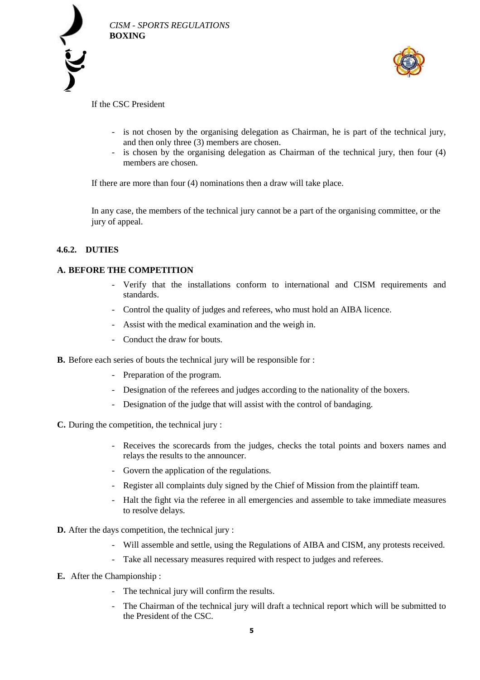



If the CSC President

- is not chosen by the organising delegation as Chairman, he is part of the technical jury, and then only three (3) members are chosen.
- is chosen by the organising delegation as Chairman of the technical jury, then four (4) members are chosen.

If there are more than four (4) nominations then a draw will take place.

In any case, the members of the technical jury cannot be a part of the organising committee, or the jury of appeal.

## **4.6.2. DUTIES**

## **A. BEFORE THE COMPETITION**

- Verify that the installations conform to international and CISM requirements and standards.
- Control the quality of judges and referees, who must hold an AIBA licence.
- Assist with the medical examination and the weigh in.
- Conduct the draw for bouts.
- **B.** Before each series of bouts the technical jury will be responsible for :
	- Preparation of the program.
	- Designation of the referees and judges according to the nationality of the boxers.
	- Designation of the judge that will assist with the control of bandaging.

**C.** During the competition, the technical jury :

- Receives the scorecards from the judges, checks the total points and boxers names and relays the results to the announcer.
- Govern the application of the regulations.
- Register all complaints duly signed by the Chief of Mission from the plaintiff team.
- Halt the fight via the referee in all emergencies and assemble to take immediate measures to resolve delays.
- **D.** After the days competition, the technical jury :
	- Will assemble and settle, using the Regulations of AIBA and CISM, any protests received.
	- Take all necessary measures required with respect to judges and referees.
- **E.** After the Championship :
	- The technical jury will confirm the results.
	- The Chairman of the technical jury will draft a technical report which will be submitted to the President of the CSC.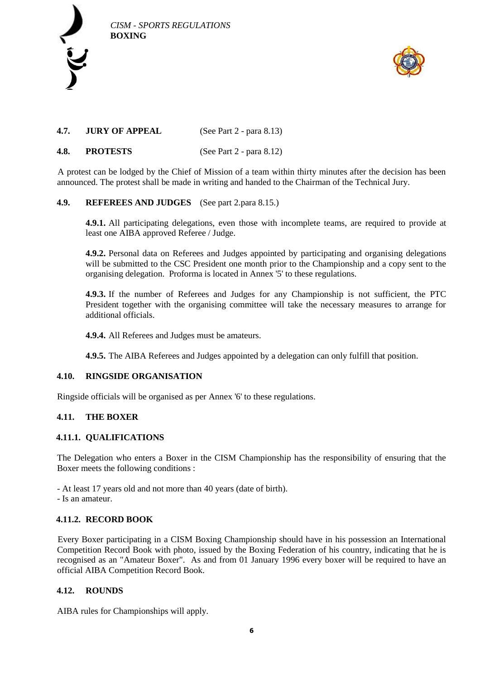



# **4.7. JURY OF APPEAL** (See Part 2 - para 8.13)

# **4.8. PROTESTS** (See Part 2 - para 8.12)

A protest can be lodged by the Chief of Mission of a team within thirty minutes after the decision has been announced. The protest shall be made in writing and handed to the Chairman of the Technical Jury.

## **4.9. REFEREES AND JUDGES** (See part 2.para 8.15.)

**4.9.1.** All participating delegations, even those with incomplete teams, are required to provide at least one AIBA approved Referee / Judge.

**4.9.2.** Personal data on Referees and Judges appointed by participating and organising delegations will be submitted to the CSC President one month prior to the Championship and a copy sent to the organising delegation. Proforma is located in Annex '5' to these regulations.

**4.9.3.** If the number of Referees and Judges for any Championship is not sufficient, the PTC President together with the organising committee will take the necessary measures to arrange for additional officials.

**4.9.4.** All Referees and Judges must be amateurs.

**4.9.5.** The AIBA Referees and Judges appointed by a delegation can only fulfill that position.

#### **4.10. RINGSIDE ORGANISATION**

Ringside officials will be organised as per Annex '6' to these regulations.

#### **4.11. THE BOXER**

#### **4.11.1. QUALIFICATIONS**

The Delegation who enters a Boxer in the CISM Championship has the responsibility of ensuring that the Boxer meets the following conditions :

- At least 17 years old and not more than 40 years (date of birth).

- Is an amateur.

#### **4.11.2. RECORD BOOK**

Every Boxer participating in a CISM Boxing Championship should have in his possession an International Competition Record Book with photo, issued by the Boxing Federation of his country, indicating that he is recognised as an "Amateur Boxer". As and from 01 January 1996 every boxer will be required to have an official AIBA Competition Record Book.

#### **4.12. ROUNDS**

AIBA rules for Championships will apply.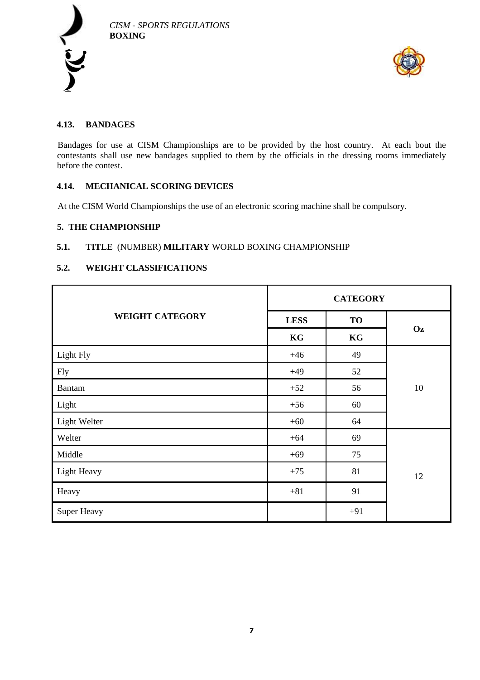



# **4.13. BANDAGES**

Bandages for use at CISM Championships are to be provided by the host country. At each bout the contestants shall use new bandages supplied to them by the officials in the dressing rooms immediately before the contest.

# **4.14. MECHANICAL SCORING DEVICES**

At the CISM World Championships the use of an electronic scoring machine shall be compulsory.

#### **5. THE CHAMPIONSHIP**

## **5.1. TITLE** (NUMBER) **MILITARY** WORLD BOXING CHAMPIONSHIP

#### **5.2. WEIGHT CLASSIFICATIONS**

|                        | <b>CATEGORY</b> |           |    |
|------------------------|-----------------|-----------|----|
| <b>WEIGHT CATEGORY</b> | <b>LESS</b>     | <b>TO</b> |    |
|                        | KG              | KG        | Oz |
| Light Fly              | $+46$           | 49        |    |
| <b>Fly</b>             | $+49$           | 52        |    |
| <b>Bantam</b>          | $+52$           | 56        | 10 |
| Light                  | $+56$           | 60        |    |
| Light Welter           | $+60$           | 64        |    |
| Welter                 | $+64$           | 69        |    |
| Middle                 | $+69$           | 75        |    |
| Light Heavy            | $+75$           | 81        | 12 |
| Heavy                  | $+81$           | 91        |    |
| Super Heavy            |                 | $+91$     |    |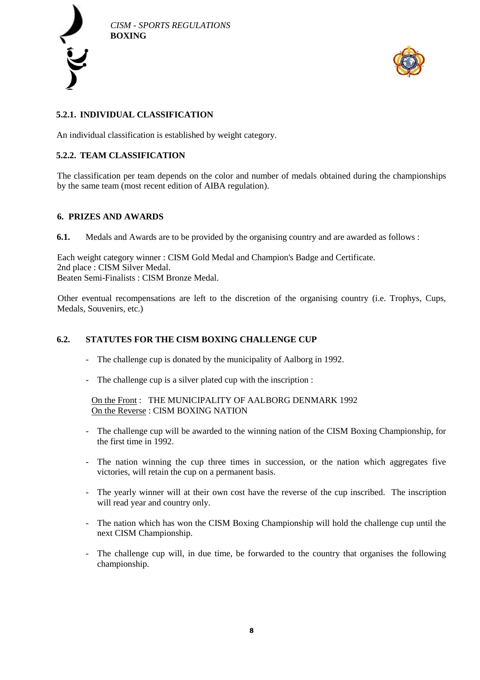



# **5.2.1. INDIVIDUAL CLASSIFICATION**

An individual classification is established by weight category.

# **5.2.2. TEAM CLASSIFICATION**

The classification per team depends on the color and number of medals obtained during the championships by the same team (most recent edition of AIBA regulation).

#### **6. PRIZES AND AWARDS**

**6.1.** Medals and Awards are to be provided by the organising country and are awarded as follows :

Each weight category winner : CISM Gold Medal and Champion's Badge and Certificate. 2nd place : CISM Silver Medal. Beaten Semi-Finalists : CISM Bronze Medal.

Other eventual recompensations are left to the discretion of the organising country (i.e. Trophys, Cups, Medals, Souvenirs, etc.)

# **6.2. STATUTES FOR THE CISM BOXING CHALLENGE CUP**

- The challenge cup is donated by the municipality of Aalborg in 1992.
- The challenge cup is a silver plated cup with the inscription :

On the Front : THE MUNICIPALITY OF AALBORG DENMARK 1992 On the Reverse : CISM BOXING NATION

- The challenge cup will be awarded to the winning nation of the CISM Boxing Championship, for the first time in 1992.
- The nation winning the cup three times in succession, or the nation which aggregates five victories, will retain the cup on a permanent basis.
- The yearly winner will at their own cost have the reverse of the cup inscribed. The inscription will read year and country only.
- The nation which has won the CISM Boxing Championship will hold the challenge cup until the next CISM Championship.
- The challenge cup will, in due time, be forwarded to the country that organises the following championship.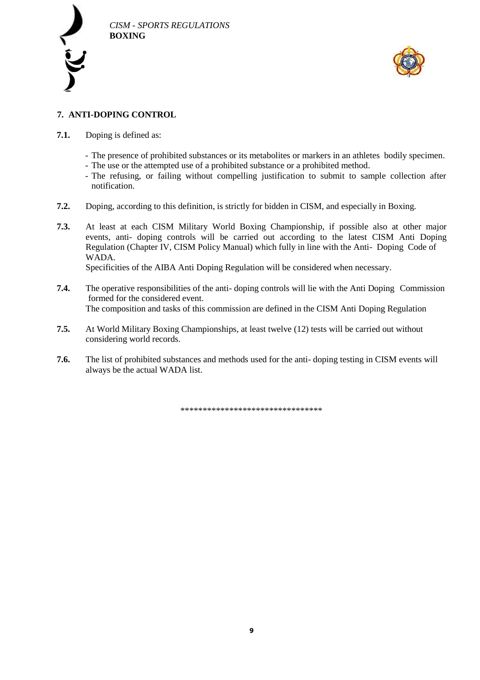



# **7. ANTI-DOPING CONTROL**

- **7.1.** Doping is defined as:
	- The presence of prohibited substances or its metabolites or markers in an athletes bodily specimen.
	- The use or the attempted use of a prohibited substance or a prohibited method.
	- The refusing, or failing without compelling justification to submit to sample collection after notification.
- **7.2.** Doping, according to this definition, is strictly for bidden in CISM, and especially in Boxing.
- **7.3.** At least at each CISM Military World Boxing Championship, if possible also at other major events, anti- doping controls will be carried out according to the latest CISM Anti Doping Regulation (Chapter IV, CISM Policy Manual) which fully in line with the Anti- Doping Code of WADA. Specificities of the AIBA Anti Doping Regulation will be considered when necessary.

- **7.4.** The operative responsibilities of the anti- doping controls will lie with the Anti Doping Commission formed for the considered event. The composition and tasks of this commission are defined in the CISM Anti Doping Regulation
- **7.5.** At World Military Boxing Championships, at least twelve (12) tests will be carried out without considering world records.
- **7.6.** The list of prohibited substances and methods used for the anti- doping testing in CISM events will always be the actual WADA list.

\*\*\*\*\*\*\*\*\*\*\*\*\*\*\*\*\*\*\*\*\*\*\*\*\*\*\*\*\*\*\*\*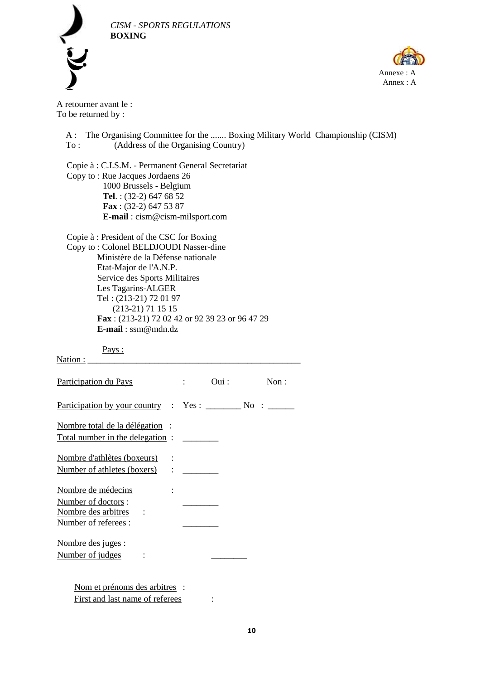



A retourner avant le : To be returned by :

A : The Organising Committee for the ....... Boxing Military World Championship (CISM) To : (Address of the Organising Country) Copie à : C.I.S.M. - Permanent General Secretariat Copy to : Rue Jacques Jordaens 26 1000 Brussels - Belgium **Tel**. : (32-2) 647 68 52 **Fax** : (32-2) 647 53 87 **E-mail** : cism@cism-milsport.com Copie à : President of the CSC for Boxing Copy to : Colonel BELDJOUDI Nasser-dine Ministère de la Défense nationale Etat-Major de l'A.N.P. Service des Sports Militaires Les Tagarins-ALGER Tel : (213-21) 72 01 97 (213-21) 71 15 15 **Fax** : (213-21) 72 02 42 or 92 39 23 or 96 47 29 **E-mail** : ssm@mdn.dz Pays : Nation :

| Participation du Pays           |                                                | $\overline{\mathrm{Oui}}$ : | Non: |
|---------------------------------|------------------------------------------------|-----------------------------|------|
|                                 |                                                |                             |      |
| Nombre total de la délégation : |                                                |                             |      |
| Total number in the delegation: |                                                |                             |      |
| Nombre d'athlètes (boxeurs)     |                                                |                             |      |
| Number of athletes (boxers)     | $\mathbf{1}$ and $\mathbf{1}$ and $\mathbf{1}$ |                             |      |
| Nombre de médecins              |                                                |                             |      |
| Number of doctors:              |                                                |                             |      |
| Nombre des arbitres :           |                                                |                             |      |
| Number of referees :            |                                                |                             |      |
| Nombre des juges :              |                                                |                             |      |
| Number of judges                |                                                |                             |      |
|                                 |                                                |                             |      |
| Nom et prénoms des arbitres :   |                                                |                             |      |

First and last name of referees :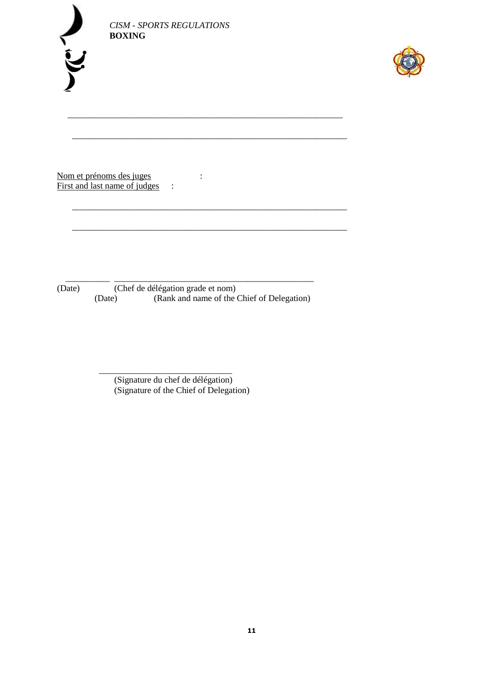|  | ٠<br>٠<br>w |
|--|-------------|
|  |             |
|  |             |
|  |             |



Nom et prénoms des juges :<br>First and last name of judges : First and last name of judges  $\cdot$ 

 \_\_\_\_\_\_\_\_\_\_ \_\_\_\_\_\_\_\_\_\_\_\_\_\_\_\_\_\_\_\_\_\_\_\_\_\_\_\_\_\_\_\_\_\_\_\_\_\_\_\_\_\_\_\_\_ (Date) (Chef de délégation grade et nom)<br>(Date) (Rank and name of the C (Rank and name of the Chief of Delegation)

\_\_\_\_\_\_\_\_\_\_\_\_\_\_\_\_\_\_\_\_\_\_\_\_\_\_\_\_\_\_\_\_\_\_\_\_\_\_\_\_\_\_\_\_\_\_\_\_\_\_\_\_\_\_\_\_\_\_\_\_\_\_

\_\_\_\_\_\_\_\_\_\_\_\_\_\_\_\_\_\_\_\_\_\_\_\_\_\_\_\_\_\_\_\_\_\_\_\_\_\_\_\_\_\_\_\_\_\_\_\_\_\_\_\_\_\_\_\_\_\_\_\_\_\_

\_\_\_\_\_\_\_\_\_\_\_\_\_\_\_\_\_\_\_\_\_\_\_\_\_\_\_\_\_\_\_\_\_\_\_\_\_\_\_\_\_\_\_\_\_\_\_\_\_\_\_\_\_\_\_\_\_\_\_\_\_\_

\_\_\_\_\_\_\_\_\_\_\_\_\_\_\_\_\_\_\_\_\_\_\_\_\_\_\_\_\_\_\_\_\_\_\_\_\_\_\_\_\_\_\_\_\_\_\_\_\_\_\_\_\_\_\_\_\_\_\_\_\_\_

 $\frac{1}{\sqrt{2}}$  ,  $\frac{1}{\sqrt{2}}$  ,  $\frac{1}{\sqrt{2}}$  ,  $\frac{1}{\sqrt{2}}$  ,  $\frac{1}{\sqrt{2}}$  ,  $\frac{1}{\sqrt{2}}$  ,  $\frac{1}{\sqrt{2}}$  ,  $\frac{1}{\sqrt{2}}$  ,  $\frac{1}{\sqrt{2}}$  ,  $\frac{1}{\sqrt{2}}$  ,  $\frac{1}{\sqrt{2}}$  ,  $\frac{1}{\sqrt{2}}$  ,  $\frac{1}{\sqrt{2}}$  ,  $\frac{1}{\sqrt{2}}$  ,  $\frac{1}{\sqrt{2}}$ (Signature du chef de délégation) (Signature of the Chief of Delegation)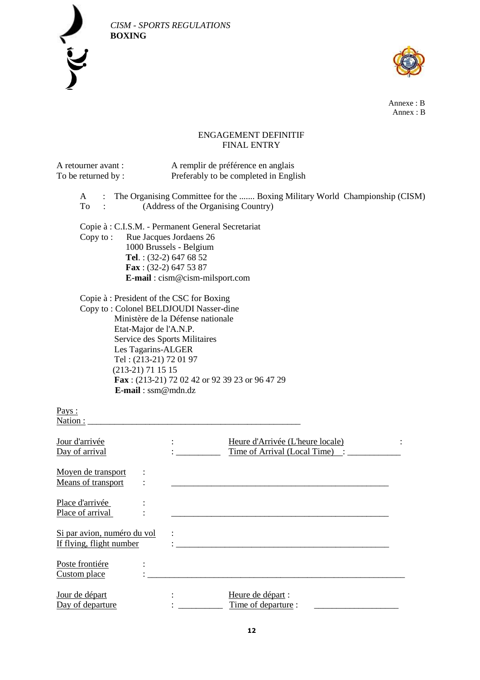

 *CISM - SPORTS REGULATIONS* 



Annexe : B Annex : B

# ENGAGEMENT DEFINITIF FINAL ENTRY

| A retourner avant :<br>To be returned by:               | A remplir de préférence en anglais<br>Preferably to be completed in English                                                                                                                                                                                                                                                           |  |
|---------------------------------------------------------|---------------------------------------------------------------------------------------------------------------------------------------------------------------------------------------------------------------------------------------------------------------------------------------------------------------------------------------|--|
| A<br>To                                                 | The Organising Committee for the  Boxing Military World Championship (CISM)<br>(Address of the Organising Country)                                                                                                                                                                                                                    |  |
| Copy to:                                                | Copie à : C.I.S.M. - Permanent General Secretariat<br>Rue Jacques Jordaens 26<br>1000 Brussels - Belgium<br>Tel.: $(32-2)$ 647 68 52<br>Fax: $(32-2)$ 647 53 87<br>E-mail: cism@cism-milsport.com                                                                                                                                     |  |
|                                                         | Copie à : President of the CSC for Boxing<br>Copy to: Colonel BELDJOUDI Nasser-dine<br>Ministère de la Défense nationale<br>Etat-Major de l'A.N.P.<br>Service des Sports Militaires<br>Les Tagarins-ALGER<br>Tel: (213-21) 72 01 97<br>$(213-21)$ 71 15 15<br>Fax: (213-21) 72 02 42 or 92 39 23 or 96 47 29<br>$E$ -mail: ssm@mdn.dz |  |
| Pays:<br>Nation:                                        |                                                                                                                                                                                                                                                                                                                                       |  |
| Jour d'arrivée<br>Day of arrival                        | Heure d'Arrivée (L'heure locale)<br>Time of Arrival (Local Time) :                                                                                                                                                                                                                                                                    |  |
| Moyen de transport<br>Means of transport                |                                                                                                                                                                                                                                                                                                                                       |  |
| Place d'arrivée<br>Place of arrival                     |                                                                                                                                                                                                                                                                                                                                       |  |
| Si par avion, numéro du vol<br>If flying, flight number |                                                                                                                                                                                                                                                                                                                                       |  |
| Poste frontiére<br>Custom place                         |                                                                                                                                                                                                                                                                                                                                       |  |
| Jour de départ<br>Day of departure                      | Heure de départ :<br>Time of departure :                                                                                                                                                                                                                                                                                              |  |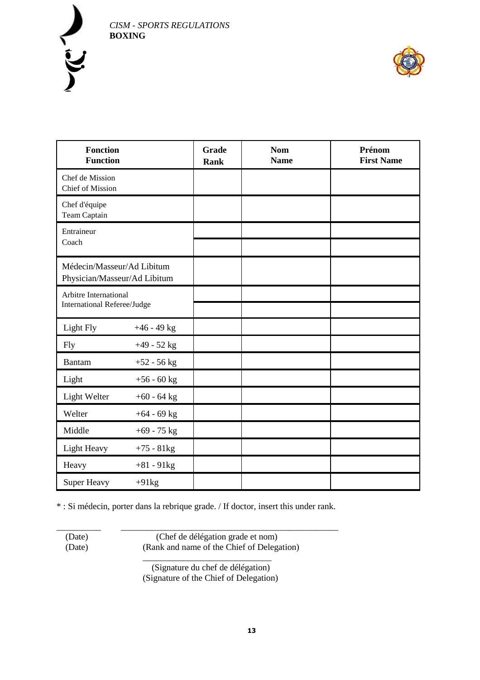



| <b>Fonction</b><br><b>Function</b>                          |               | Grade<br><b>Rank</b> | <b>Nom</b><br><b>Name</b> | Prénom<br><b>First Name</b> |
|-------------------------------------------------------------|---------------|----------------------|---------------------------|-----------------------------|
| Chef de Mission<br><b>Chief of Mission</b>                  |               |                      |                           |                             |
| Chef d'équipe<br><b>Team Captain</b>                        |               |                      |                           |                             |
| Entraineur<br>Coach                                         |               |                      |                           |                             |
| Médecin/Masseur/Ad Libitum<br>Physician/Masseur/Ad Libitum  |               |                      |                           |                             |
| Arbitre International<br><b>International Referee/Judge</b> |               |                      |                           |                             |
| Light Fly                                                   | $+46 - 49$ kg |                      |                           |                             |
| <b>Fly</b>                                                  | $+49 - 52$ kg |                      |                           |                             |
| <b>Bantam</b>                                               | $+52 - 56$ kg |                      |                           |                             |
| Light                                                       | $+56 - 60$ kg |                      |                           |                             |
| Light Welter                                                | $+60 - 64$ kg |                      |                           |                             |
| Welter                                                      | $+64 - 69$ kg |                      |                           |                             |
| Middle                                                      | $+69 - 75$ kg |                      |                           |                             |
| Light Heavy                                                 | $+75 - 81kg$  |                      |                           |                             |
| Heavy                                                       | $+81 - 91kg$  |                      |                           |                             |
| <b>Super Heavy</b>                                          | $+91kg$       |                      |                           |                             |

\* : Si médecin, porter dans la rebrique grade. / If doctor, insert this under rank.

\_\_\_\_\_\_\_\_\_\_ \_\_\_\_\_\_\_\_\_\_\_\_\_\_\_\_\_\_\_\_\_\_\_\_\_\_\_\_\_\_\_\_\_\_\_\_\_\_\_\_\_\_\_\_\_\_\_\_\_

 (Date) (Chef de délégation grade et nom) (Date) (Rank and name of the Chief of Delegation)

> \_\_\_\_\_\_\_\_\_\_\_\_\_\_\_\_\_\_\_\_\_\_\_\_\_\_\_\_\_ (Signature du chef de délégation) (Signature of the Chief of Delegation)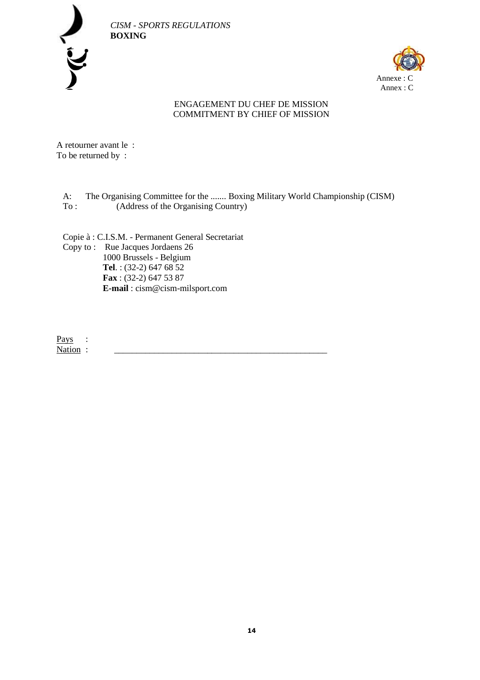

 *CISM - SPORTS REGULATIONS* 



# ENGAGEMENT DU CHEF DE MISSION COMMITMENT BY CHIEF OF MISSION

A retourner avant le : To be returned by :

A: The Organising Committee for the ....... Boxing Military World Championship (CISM) To : (Address of the Organising Country)

Copie à : C.I.S.M. - Permanent General Secretariat Copy to : Rue Jacques Jordaens 26 1000 Brussels - Belgium **Tel**. : (32-2) 647 68 52 **Fax** : (32-2) 647 53 87 **E-mail** : cism@cism-milsport.com

Pays : Nation :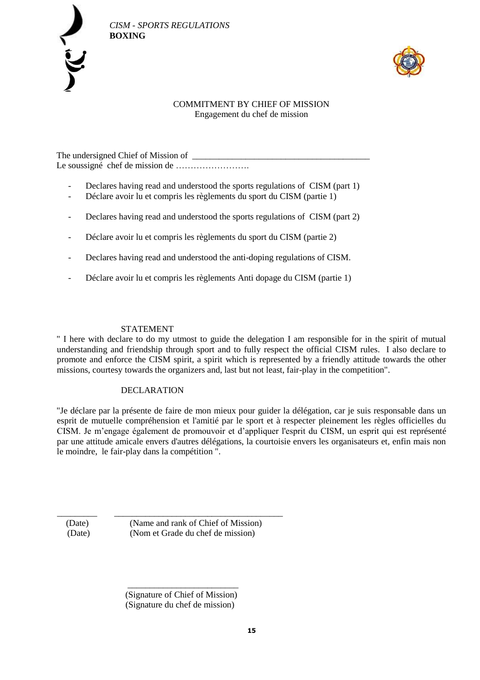



## COMMITMENT BY CHIEF OF MISSION Engagement du chef de mission

The undersigned Chief of Mission of Le soussigné chef de mission de …………………….

- Declares having read and understood the sports regulations of CISM (part 1)
- Déclare avoir lu et compris les règlements du sport du CISM (partie 1)
- Declares having read and understood the sports regulations of CISM (part 2)
- Déclare avoir lu et compris les règlements du sport du CISM (partie 2)
- Declares having read and understood the anti-doping regulations of CISM.
- Déclare avoir lu et compris les règlements Anti dopage du CISM (partie 1)

#### STATEMENT

" I here with declare to do my utmost to guide the delegation I am responsible for in the spirit of mutual understanding and friendship through sport and to fully respect the official CISM rules. I also declare to promote and enforce the CISM spirit, a spirit which is represented by a friendly attitude towards the other missions, courtesy towards the organizers and, last but not least, fair-play in the competition".

#### DECLARATION

"Je déclare par la présente de faire de mon mieux pour guider la délégation, car je suis responsable dans un esprit de mutuelle compréhension et l'amitié par le sport et à respecter pleinement les règles officielles du CISM. Je m'engage également de promouvoir et d'appliquer l'esprit du CISM, un esprit qui est représenté par une attitude amicale envers d'autres délégations, la courtoisie envers les organisateurs et, enfin mais non le moindre, le fair-play dans la compétition ".

 (Date) (Name and rank of Chief of Mission) (Date) (Nom et Grade du chef de mission)

\_\_\_\_\_\_\_\_\_ \_\_\_\_\_\_\_\_\_\_\_\_\_\_\_\_\_\_\_\_\_\_\_\_\_\_\_\_\_\_\_\_\_\_\_\_\_\_

 (Signature of Chief of Mission) (Signature du chef de mission)

\_\_\_\_\_\_\_\_\_\_\_\_\_\_\_\_\_\_\_\_\_\_\_\_\_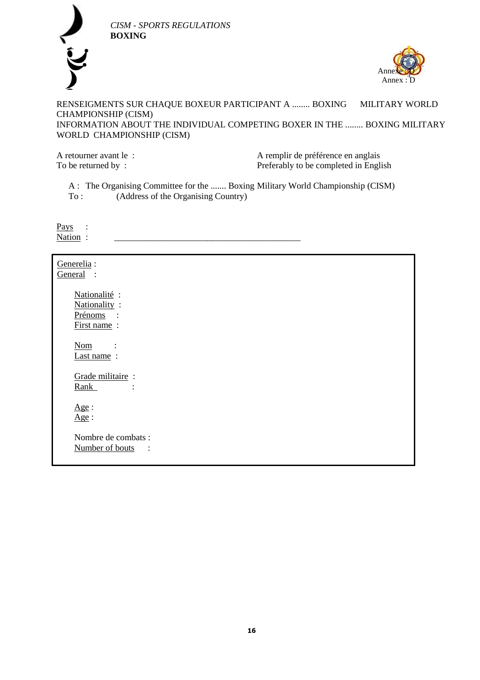

Annexe : D Anne

RENSEIGMENTS SUR CHAQUE BOXEUR PARTICIPANT A ........ BOXING MILITARY WORLD CHAMPIONSHIP (CISM) INFORMATION ABOUT THE INDIVIDUAL COMPETING BOXER IN THE ........ BOXING MILITARY WORLD CHAMPIONSHIP (CISM)

A retourner avant le :<br>
To be returned by :<br>  $\begin{array}{ccc} \text{A} & \text{remplir de préférence en anglais} \\ \text{Preferably to be completed in Engl} \end{array}$ Preferably to be completed in English

A : The Organising Committee for the ....... Boxing Military World Championship (CISM) To : (Address of the Organising Country)

 *CISM - SPORTS REGULATIONS* 

**BOXING** 

Pays : Nation :

Generelia : General : Nationalité : Nationality : Prénoms : First name : Nom : Last name: Grade militaire : Rank : Age : Age : Nombre de combats : Number of bouts :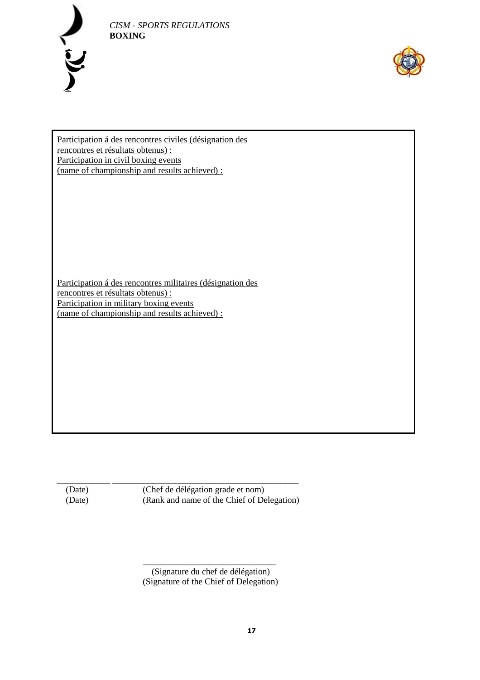



Participation á des rencontres civiles (désignation des rencontres et résultats obtenus) : Participation in civil boxing events (name of championship and results achieved) :

Participation á des rencontres militaires (désignation des rencontres et résultats obtenus) : Participation in military boxing events (name of championship and results achieved) :

\_\_\_\_\_\_\_\_\_\_\_\_ \_\_\_\_\_\_\_\_\_\_\_\_\_\_\_\_\_\_\_\_\_\_\_\_\_\_\_\_\_\_\_\_\_\_\_\_\_\_\_\_\_\_ (Date) (Chef de délégation grade et nom) (Date) (Rank and name of the Chief of Delegation)

\_\_\_\_\_\_\_\_\_\_\_\_\_\_\_\_\_\_\_\_\_\_\_\_\_\_\_\_\_\_ (Signature du chef de délégation) (Signature of the Chief of Delegation)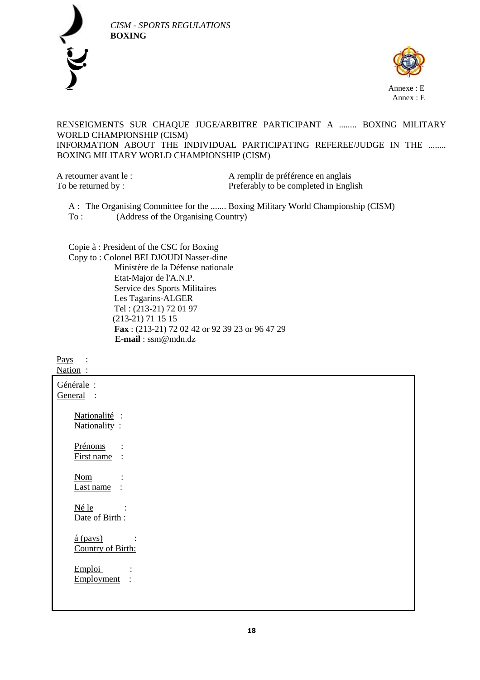



## RENSEIGMENTS SUR CHAQUE JUGE/ARBITRE PARTICIPANT A ........ BOXING MILITARY WORLD CHAMPIONSHIP (CISM) INFORMATION ABOUT THE INDIVIDUAL PARTICIPATING REFEREE/JUDGE IN THE ........ BOXING MILITARY WORLD CHAMPIONSHIP (CISM)

A retourner avant le :<br>A remplir de préférence en anglais To be returned by : Preferably to be completed in English

A : The Organising Committee for the ....... Boxing Military World Championship (CISM) To : (Address of the Organising Country)

Copie à : President of the CSC for Boxing Copy to : Colonel BELDJOUDI Nasser-dine Ministère de la Défense nationale Etat-Major de l'A.N.P. Service des Sports Militaires Les Tagarins-ALGER Tel : (213-21) 72 01 97 (213-21) 71 15 15 **Fax** : (213-21) 72 02 42 or 92 39 23 or 96 47 29  **E-mail** : ssm@mdn.dz

Pays : Nation : Générale : General : Nationalité : Nationality : Prénoms : First name : Nom : Last name : Né le : Date of Birth :  $\frac{\acute{a}(\text{pays})}{\acute{b}}$ Country of Birth: Emploi : Employment :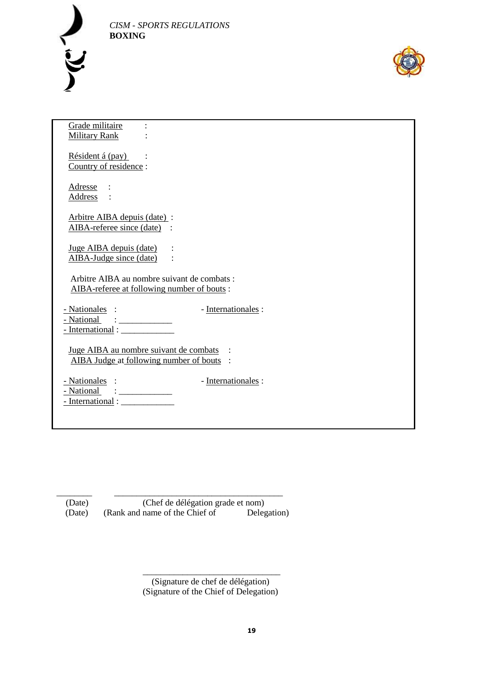



| Grade militaire                                                                                                                                                                                                                                                                                                                                                                 |
|---------------------------------------------------------------------------------------------------------------------------------------------------------------------------------------------------------------------------------------------------------------------------------------------------------------------------------------------------------------------------------|
| <b>Military Rank</b>                                                                                                                                                                                                                                                                                                                                                            |
| Résident á (pay)                                                                                                                                                                                                                                                                                                                                                                |
| Country of residence:                                                                                                                                                                                                                                                                                                                                                           |
| Adresse                                                                                                                                                                                                                                                                                                                                                                         |
| Address                                                                                                                                                                                                                                                                                                                                                                         |
| Arbitre AIBA depuis (date) :                                                                                                                                                                                                                                                                                                                                                    |
| AIBA-referee since (date)                                                                                                                                                                                                                                                                                                                                                       |
| Juge AIBA depuis (date)                                                                                                                                                                                                                                                                                                                                                         |
| AIBA-Judge since (date)                                                                                                                                                                                                                                                                                                                                                         |
| Arbitre AIBA au nombre suivant de combats :                                                                                                                                                                                                                                                                                                                                     |
| AIBA-referee at following number of bouts:                                                                                                                                                                                                                                                                                                                                      |
|                                                                                                                                                                                                                                                                                                                                                                                 |
| - Nationales :<br>- Internationales :<br>- National<br>$\vdots$ $\frac{1}{2}$ $\frac{1}{2}$ $\frac{1}{2}$ $\frac{1}{2}$ $\frac{1}{2}$ $\frac{1}{2}$ $\frac{1}{2}$ $\frac{1}{2}$ $\frac{1}{2}$ $\frac{1}{2}$ $\frac{1}{2}$ $\frac{1}{2}$ $\frac{1}{2}$ $\frac{1}{2}$ $\frac{1}{2}$ $\frac{1}{2}$ $\frac{1}{2}$ $\frac{1}{2}$ $\frac{1}{2}$ $\frac{1}{2}$ $\frac{1}{2}$ $\frac{1$ |
|                                                                                                                                                                                                                                                                                                                                                                                 |
|                                                                                                                                                                                                                                                                                                                                                                                 |
| Juge AIBA au nombre suivant de combats<br>AIBA Judge at following number of bouts :                                                                                                                                                                                                                                                                                             |
|                                                                                                                                                                                                                                                                                                                                                                                 |
| - Nationales :<br>- Internationales :<br>- National                                                                                                                                                                                                                                                                                                                             |
| - International :                                                                                                                                                                                                                                                                                                                                                               |
|                                                                                                                                                                                                                                                                                                                                                                                 |
|                                                                                                                                                                                                                                                                                                                                                                                 |

\_\_\_\_\_\_\_\_ \_\_\_\_\_\_\_\_\_\_\_\_\_\_\_\_\_\_\_\_\_\_\_\_\_\_\_\_\_\_\_\_\_\_\_\_\_\_ (Date) (Chef de délégation grade et nom) (Date) (Rank and name of the Chief of Delegation)

> \_\_\_\_\_\_\_\_\_\_\_\_\_\_\_\_\_\_\_\_\_\_\_\_\_\_\_\_\_\_\_ (Signature de chef de délégation) (Signature of the Chief of Delegation)